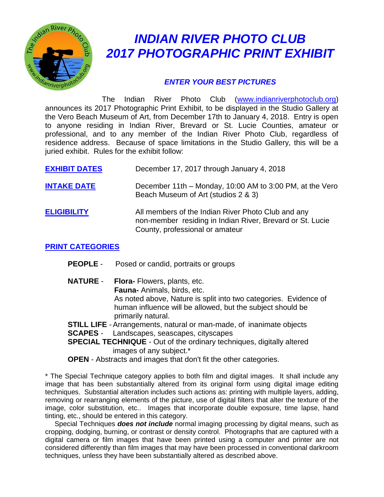

# *INDIAN RIVER PHOTO CLUB 2017 PHOTOGRAPHIC PRINT EXHIBIT*

### *ENTER YOUR BEST PICTURES*

The Indian River Photo Club [\(www.indianriverphotoclub.org\)](http://www.indianriverphotoclub.org/) announces its 2017 Photographic Print Exhibit, to be displayed in the Studio Gallery at the Vero Beach Museum of Art, from December 17th to January 4, 2018. Entry is open to anyone residing in Indian River, Brevard or St. Lucie Counties, amateur or professional, and to any member of the Indian River Photo Club, regardless of residence address. Because of space limitations in the Studio Gallery, this will be a juried exhibit. Rules for the exhibit follow:

| <b>EXHIBIT DATES</b> | December 17, 2017 through January 4, 2018                                                                                                          |
|----------------------|----------------------------------------------------------------------------------------------------------------------------------------------------|
| <b>INTAKE DATE</b>   | December 11th – Monday, 10:00 AM to 3:00 PM, at the Vero<br>Beach Museum of Art (studios 2 & 3)                                                    |
| <b>ELIGIBILITY</b>   | All members of the Indian River Photo Club and any<br>non-member residing in Indian River, Brevard or St. Lucie<br>County, professional or amateur |

#### **PRINT CATEGORIES**

- **PEOPLE** Posed or candid, portraits or groups
- **NATURE Flora-** Flowers, plants, etc. **Fauna-** Animals, birds, etc. As noted above, Nature is split into two categories. Evidence of human influence will be allowed, but the subject should be primarily natural.
- **STILL LIFE** Arrangements, natural or man-made, of inanimate objects
- **SCAPES** Landscapes, seascapes, cityscapes
- **SPECIAL TECHNIQUE** Out of the ordinary techniques, digitally altered images of any subject.\*
- **OPEN**  Abstracts and images that don't fit the other categories.

\* The Special Technique category applies to both film and digital images. It shall include any image that has been substantially altered from its original form using digital image editing techniques. Substantial alteration includes such actions as: printing with multiple layers, adding, removing or rearranging elements of the picture, use of digital filters that alter the texture of the image, color substitution, etc.. Images that incorporate double exposure, time lapse, hand tinting, etc., should be entered in this category.

 Special Techniques *does not include* normal imaging processing by digital means, such as cropping, dodging, burning, or contrast or density control. Photographs that are captured with a digital camera or film images that have been printed using a computer and printer are not considered differently than film images that may have been processed in conventional darkroom techniques, unless they have been substantially altered as described above.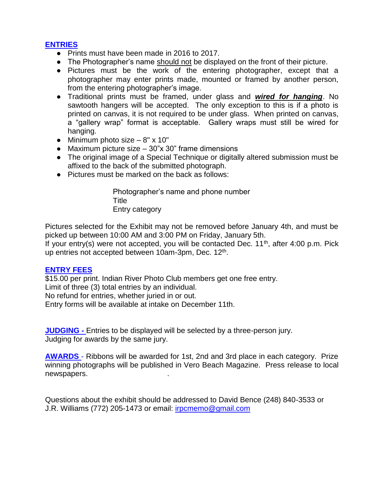#### **ENTRIES**

- Prints must have been made in 2016 to 2017.
- The Photographer's name should not be displayed on the front of their picture.
- Pictures must be the work of the entering photographer, except that a photographer may enter prints made, mounted or framed by another person, from the entering photographer's image.
- Traditional prints must be framed, under glass and *wired for hanging*. No sawtooth hangers will be accepted. The only exception to this is if a photo is printed on canvas, it is not required to be under glass. When printed on canvas, a "gallery wrap" format is acceptable. Gallery wraps must still be wired for hanging.
- Minimum photo size  $-8" \times 10"$
- Maximum picture size  $-30$ "x 30" frame dimensions
- The original image of a Special Technique or digitally altered submission must be affixed to the back of the submitted photograph.
- Pictures must be marked on the back as follows:

Photographer's name and phone number Title Entry category

Pictures selected for the Exhibit may not be removed before January 4th, and must be picked up between 10:00 AM and 3:00 PM on Friday, January 5th.

If your entry(s) were not accepted, you will be contacted Dec.  $11<sup>th</sup>$ , after 4:00 p.m. Pick up entries not accepted between 10am-3pm, Dec. 12<sup>th</sup>.

#### **ENTRY FEES**

\$15.00 per print. Indian River Photo Club members get one free entry. Limit of three (3) total entries by an individual. No refund for entries, whether juried in or out. Entry forms will be available at intake on December 11th.

**JUDGING -** Entries to be displayed will be selected by a three-person jury. Judging for awards by the same jury.

**AWARDS** - Ribbons will be awarded for 1st, 2nd and 3rd place in each category. Prize winning photographs will be published in Vero Beach Magazine. Press release to local newspapers. .

Questions about the exhibit should be addressed to David Bence (248) 840-3533 or J.R. Williams (772) 205-1473 or email: [irpcmemo@gmail.com](mailto:irpcmemo@gmail.com)